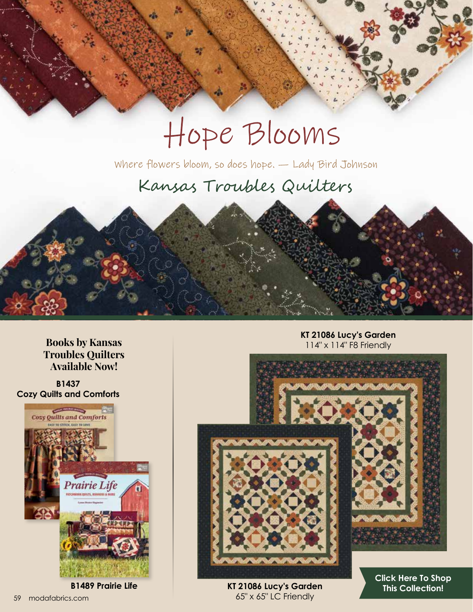# Hope Blooms

Where flowers bloom, so does hope. - Lady Bird Johnson

## Kansas Troubles Quilters

**Books by Kansas Troubles Quilters Available Now!**

**B1437 Cozy Quilts and Comforts** 



**B1489 Prairie Life**

**KT 21086 Lucy's Garden** 114" x 114" F8 Friendly



**KT 21086 Lucy's Garden** 59 modafabrics.com 65" x 65" LC Friendly

**[Click Here To Shop](https://my.modafabrics.com/shop/s/Kansas_Troubles_Quilters/Hope_Blooms/) This Collection!**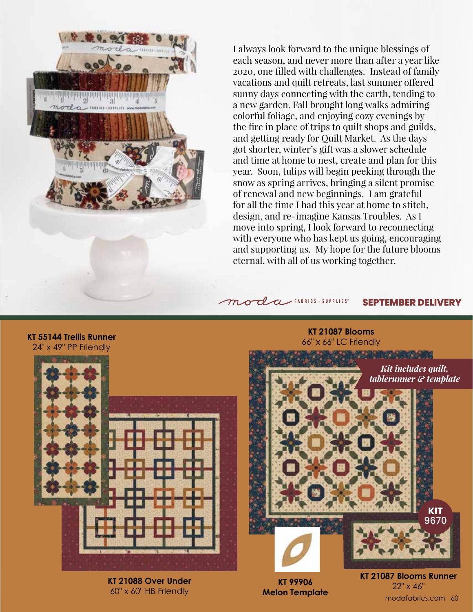

I always look forward to the unique blessings of each season, and never more than after a year like 2020, one filled with challenges. Instead of family vacations and quilt retreats, last summer offered sunny days connecting with the earth, tending to a new garden. Fall brought long walks admiring colorful foliage, and enjoying cozy evenings by the fire in place of trips to quilt shops and guilds, and getting ready for Quilt Market. As the days got shorter, winter's gift was a slower schedule and time at home to nest, create and plan for this year. Soon, tulips will begin peeking through the snow as spring arrives, bringing a silent promise of renewal and new beginnings. I am grateful for all the time I had this year at home to stitch, design, and re-imagine Kansas Troubles. As I move into spring, I look forward to reconnecting with everyone who has kept us going, encouraging and supporting us. My hope for the future blooms eternal, with all of us working together.

#### $m$  ol a FABRICS + SUPPLIES\* **SEPTEMBER DELIVERY**

**KT 21087 Blooms**

**KT 55144 Trellis Runner**

24" x 49" PP Friendly

66" x 66" LC Friendly **CONTRACTOR** *Kit includes quilt, tablerunner & template*



**KT 21088 Over Under** 60" x 60" HB Friendly



**KT 21087 Blooms Runner** 22" x 46" **KT 99906**  modafabrics.com 60

**KIT** 9670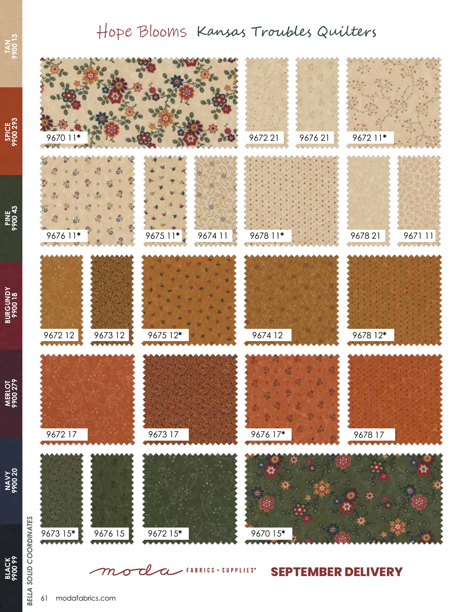## Hope Blooms Kansas Troubles Quilters



**PINE 9900 43**

**BURGUNDY BURGUNDY**<br>9900 18

**MERLOT 9900 279**

**NAVY 9900 20**

**BLACK 9900 99**